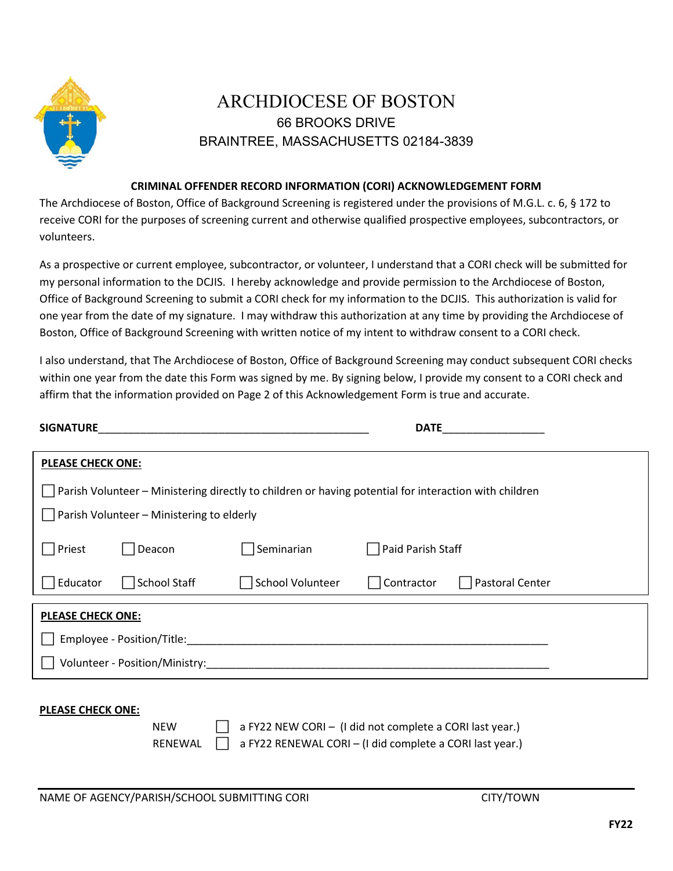

## ARCHDIOCESE OF BOSTON 66 BROOKS DRIVE BRAINTREE, MASSACHUSETTS 02184-3839

## **CRIMINAL OFFENDER RECORD INFORMATION (CORI) ACKNOWLEDGEMENT FORM**

The Archdiocese of Boston, Office of Background Screening is registered under the provisions of M.G.L. c. 6, § 172 to receive CORI for the purposes of screening current and otherwise qualified prospective employees, subcontractors, or volunteers.

As a prospective or current employee, subcontractor, or volunteer, I understand that a CORI check will be submitted for my personal information to the DCJIS. I hereby acknowledge and provide permission to the Archdiocese of Boston, Office of Background Screening to submit a CORI check for my information to the DCJIS. This authorization is valid for one year from the date of my signature. I may withdraw this authorization at any time by providing the Archdiocese of Boston, Office of Background Screening with written notice of my intent to withdraw consent to a CORI check.

I also understand, that The Archdiocese of Boston, Office of Background Screening may conduct subsequent CORI checks within one year from the date this Form was signed by me. By signing below, I provide my consent to a CORI check and affirm that the information provided on Page 2 of this Acknowledgement Form is true and accurate.

| <b>SIGNATURE</b>                                                                                      |                     |                         | <b>DATE</b>                   |  |  |
|-------------------------------------------------------------------------------------------------------|---------------------|-------------------------|-------------------------------|--|--|
| <b>PLEASE CHECK ONE:</b>                                                                              |                     |                         |                               |  |  |
| Parish Volunteer – Ministering directly to children or having potential for interaction with children |                     |                         |                               |  |  |
| $\vert$ Parish Volunteer – Ministering to elderly                                                     |                     |                         |                               |  |  |
| Priest                                                                                                | Deacon              | Seminarian              | Paid Parish Staff             |  |  |
| Educator                                                                                              | <b>School Staff</b> | <b>School Volunteer</b> | Pastoral Center<br>Contractor |  |  |
| <b>PLEASE CHECK ONE:</b>                                                                              |                     |                         |                               |  |  |
| Employee - Position/Title:                                                                            |                     |                         |                               |  |  |
| Volunteer - Position/Ministry:                                                                        |                     |                         |                               |  |  |

## **PLEASE CHECK ONE:**

NEW  $\Box$  a FY22 NEW CORI – (I did not complete a CORI last year.) RENEWAL  $\Box$  a FY22 RENEWAL CORI – (I did complete a CORI last year.)